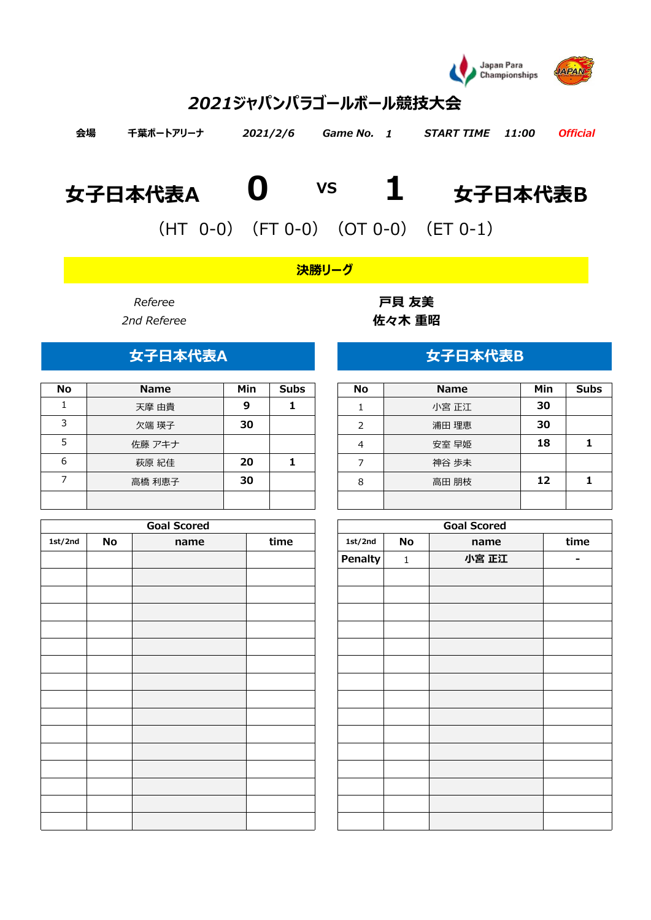

# *2021ジャパンパラゴールボール競技大会*

| 会場 | 千葉ポートアリーナ | 2021/2/6 Game No. 1 | START TIME 11:00 Official |  |
|----|-----------|---------------------|---------------------------|--|
|    |           |                     |                           |  |

# **女子日本代表A 0 1 女子日本代表B VS**

(HT 0-0)(FT 0-0)(OT 0-0)(ET 0-1)

*決勝リーグ*

| <b>No</b> | <b>Name</b> | Min | <b>Subs</b> | <b>No</b> | <b>Name</b> | Min | Sul |
|-----------|-------------|-----|-------------|-----------|-------------|-----|-----|
|           | 天摩 由貴       | 9   |             |           | 小宮 正江       | 30  |     |
| っ         | 欠端 瑛子       | 30  |             |           | 浦田 理恵       | 30  |     |
|           | 佐藤 アキナ      |     |             | 4         | 安室 早姫       | 18  |     |
| 6         | 萩原 紀佳       | 20  |             |           | 神谷 歩未       |     |     |
|           | 高橋 利恵子      | 30  |             | 8         | 高田 朋枝       | 12  |     |
|           |             |     |             |           |             |     |     |

|         |    | <b>Goal Scored</b> |      |         |              | <b>Goal Scored</b> |        |
|---------|----|--------------------|------|---------|--------------|--------------------|--------|
| 1st/2nd | No | name               | time | 1st/2nd | No           | name               | time   |
|         |    |                    |      | Penalty | $\mathbf{1}$ | 小宮 正江              | $\sim$ |
|         |    |                    |      |         |              |                    |        |
|         |    |                    |      |         |              |                    |        |
|         |    |                    |      |         |              |                    |        |
|         |    |                    |      |         |              |                    |        |
|         |    |                    |      |         |              |                    |        |
|         |    |                    |      |         |              |                    |        |
|         |    |                    |      |         |              |                    |        |
|         |    |                    |      |         |              |                    |        |
|         |    |                    |      |         |              |                    |        |
|         |    |                    |      |         |              |                    |        |
|         |    |                    |      |         |              |                    |        |
|         |    |                    |      |         |              |                    |        |
|         |    |                    |      |         |              |                    |        |
|         |    |                    |      |         |              |                    |        |
|         |    |                    |      |         |              |                    |        |

*Referee* **戸貝 友美** *2nd Referee* **佐々木 重昭**

## **女子日本代表A 女子日本代表B**

| <b>No</b> | <b>Name</b> | Min | <b>Subs</b> |
|-----------|-------------|-----|-------------|
|           | 小宮 正江       | 30  |             |
| 2         | 浦田 理恵       | 30  |             |
|           | 安室 早姫       | 18  |             |
|           | 神谷 歩未       |     |             |
| 8         | 高田 朋枝       | 12  |             |
|           |             |     |             |

| <b>Goal Scored</b> |      |         |             | <b>Goal Scored</b> |      |
|--------------------|------|---------|-------------|--------------------|------|
| name               | time | 1st/2nd | No          | name               | time |
|                    |      | Penalty | $\mathbf 1$ | 小宮 正江              | -    |
|                    |      |         |             |                    |      |
|                    |      |         |             |                    |      |
|                    |      |         |             |                    |      |
|                    |      |         |             |                    |      |
|                    |      |         |             |                    |      |
|                    |      |         |             |                    |      |
|                    |      |         |             |                    |      |
|                    |      |         |             |                    |      |
|                    |      |         |             |                    |      |
|                    |      |         |             |                    |      |
|                    |      |         |             |                    |      |
|                    |      |         |             |                    |      |
|                    |      |         |             |                    |      |
|                    |      |         |             |                    |      |
|                    |      |         |             |                    |      |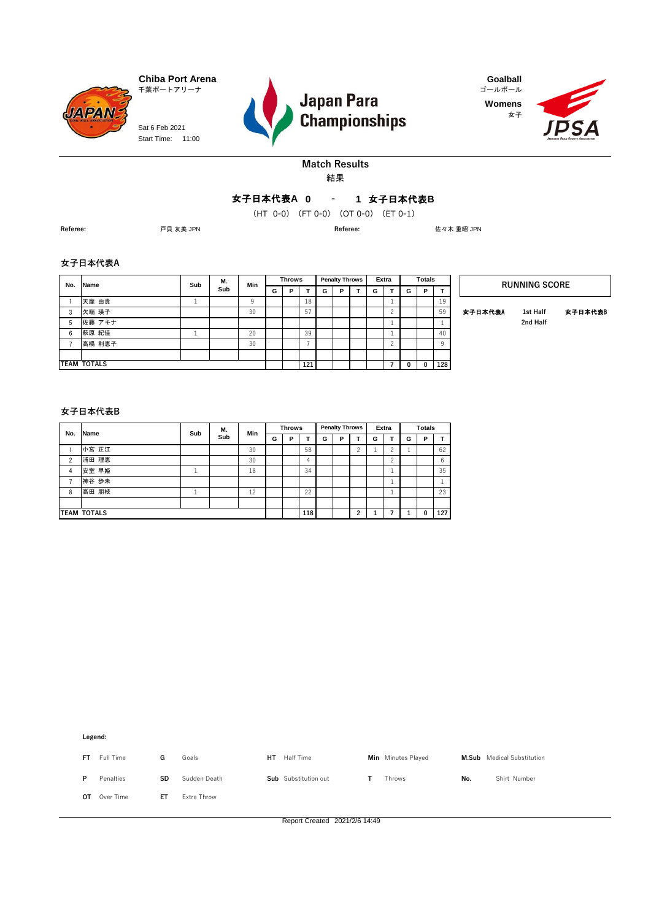**JAPAN** Sat 6 Feb 2021 Start Time: 11:00







#### **Match Results** 結果

#### **0 1** 女子日本代表**B** 女子日本代表**A -**

**(HT 0 0 ) -** (HT 0-0)(FT 0-0)(OT 0-0)(ET 0-1)

**Referee:** 戸貝 友美 JPN **Referee:** 佐々木 重昭 JPN

#### **女子日本代表A**

| No. | Name               | Sub | М.  | Min |   | <b>Throws</b> |     |   | <b>Penalty Throws</b> | Extra |              | <b>Totals</b> |          |         | <b>RUNNING SCORE</b> |        |
|-----|--------------------|-----|-----|-----|---|---------------|-----|---|-----------------------|-------|--------------|---------------|----------|---------|----------------------|--------|
|     |                    |     | Sub |     | G | Þ             |     | G | P                     | G     | G            | P             | т        |         |                      |        |
|     | 天摩 由貴              |     |     |     |   |               | 18  |   |                       |       |              |               | 19       |         |                      |        |
| 3   | 欠端 瑛子              |     |     | 30  |   |               | 57  |   |                       |       |              |               | 59       | 女子日本代表A | 1st Half             | 女子日本代表 |
| 5   | 佐藤 アキナ             |     |     |     |   |               |     |   |                       |       |              |               |          |         | 2nd Half             |        |
| 6   | 萩原 紀佳              |     |     | 20  |   |               | 39  |   |                       |       |              |               | 40       |         |                      |        |
|     | 高橋 利恵子             |     |     | 30  |   |               |     |   |                       |       |              |               | $\alpha$ |         |                      |        |
|     |                    |     |     |     |   |               |     |   |                       |       |              |               |          |         |                      |        |
|     | <b>TEAM TOTALS</b> |     |     |     |   |               | 121 |   |                       |       | $\mathbf{0}$ | 0             | 128      |         |                      |        |

#### **女子日本代表B**

| No.            | <b>Name</b>        | Sub | М.  | Min |   | <b>Throws</b> |     |   | <b>Penalty Throws</b> |        |   | Extra |   | <b>Totals</b> |     |
|----------------|--------------------|-----|-----|-----|---|---------------|-----|---|-----------------------|--------|---|-------|---|---------------|-----|
|                |                    |     | Sub |     | G | P             |     | G | P                     |        | G |       | G | P             |     |
|                | 小宮 正江              |     |     | 30  |   |               | 58  |   |                       | $\sim$ | щ |       |   |               | 62  |
| $\overline{2}$ | 浦田 理恵              |     |     | 30  |   |               | 4   |   |                       |        |   | ◠     |   |               | 6   |
| 4              | 安室 早姫              |     |     | 18  |   |               | 34  |   |                       |        |   |       |   |               | 35  |
|                | 神谷 歩未              |     |     |     |   |               |     |   |                       |        |   | ٠.    |   |               |     |
| 8              | 高田 朋枝              |     |     | 12  |   |               | 22  |   |                       |        |   |       |   |               | 23  |
|                |                    |     |     |     |   |               |     |   |                       |        |   |       |   |               |     |
|                | <b>TEAM TOTALS</b> |     |     |     |   |               | 118 |   |                       | ີ      |   |       |   | 0             | 127 |

**Legend:**

| FT. | Full Time | G  | Goals        | HT | Half Time            | Min Minutes Played |     | <b>M.Sub</b> Medical Substitution |
|-----|-----------|----|--------------|----|----------------------|--------------------|-----|-----------------------------------|
| P   | Penalties | SD | Sudden Death |    | Sub Substitution out | Throws             | No. | Shirt Number                      |
| OT. | Over Time | ET | Extra Throw  |    |                      |                    |     |                                   |

Report Created 2021/2/6 14:49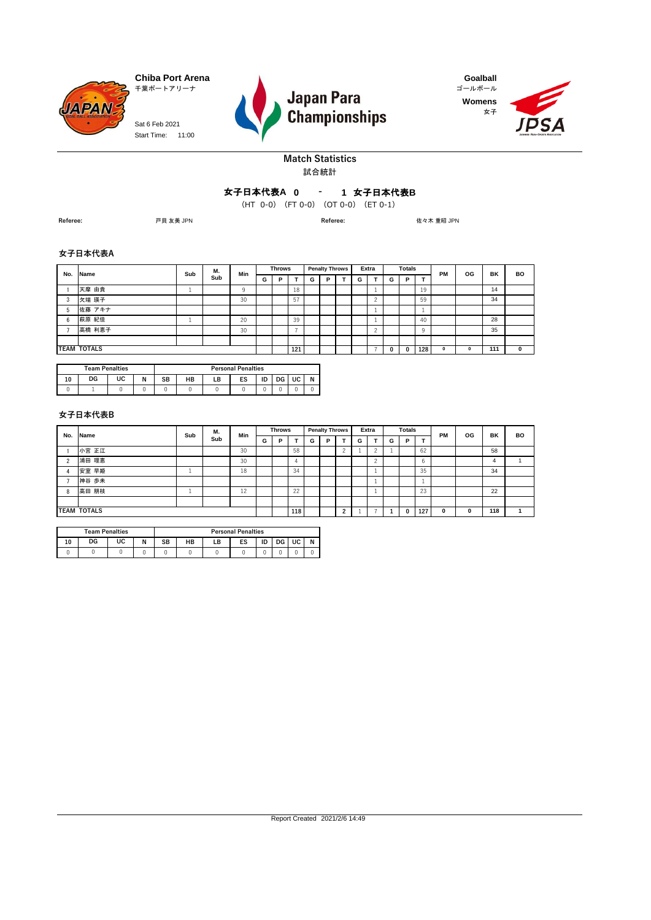

Start Time: 11:00 Sat 6 Feb 2021



**Womens** 女子



#### **Match Statistics** 試合統計

### **0 1** 女子日本代表**B** 女子日本代表**A -**

**(HT 0 0 ) -** (HT 0-0)(FT 0-0)(OT 0-0)(ET 0-1)

**Referee:** 戸貝 友美 JPN **Referee:** 佐々木 重昭 JPN

#### **女子日本代表A**

| No. | Name               | Sub      | М.  | Min      |   | <b>Throws</b> |     |   | <b>Penalty Throws</b> |   | Extra  |   | <b>Totals</b> |     | <b>PM</b>   | OG | BK  | <b>BO</b>    |
|-----|--------------------|----------|-----|----------|---|---------------|-----|---|-----------------------|---|--------|---|---------------|-----|-------------|----|-----|--------------|
|     |                    |          | Sub |          | G | Р             |     | G | P                     | G | т.     | G | P             | т   |             |    |     |              |
|     | 天摩 由貴              |          |     | $\Omega$ |   |               | 18  |   |                       |   |        |   |               | 19  |             |    | 14  |              |
| 3   | 欠端 瑛子              |          |     | 30       |   |               | 57  |   |                       |   |        |   |               | 59  |             |    | 34  |              |
|     | 佐藤 アキナ             |          |     |          |   |               |     |   |                       |   | ÷      |   |               |     |             |    |     |              |
| 6   | 萩原 紀佳              | <b>.</b> |     | 20       |   |               | 39  |   |                       |   | ÷      |   |               | 40  |             |    | 28  |              |
|     | 高橋 利恵子             |          |     | 30       |   |               | -   |   |                       |   | $\sim$ |   |               | Q   |             |    | 35  |              |
|     |                    |          |     |          |   |               |     |   |                       |   |        |   |               |     |             |    |     |              |
|     | <b>TEAM TOTALS</b> |          |     |          |   |               | 121 |   |                       |   |        |   |               | 128 | $\mathbf 0$ | 0  | 111 | $\mathbf{0}$ |

|    | <b>Team Penalties</b> |    |       |    |    |    | <b>Personal Penalties</b> |    |    |    |   |
|----|-----------------------|----|-------|----|----|----|---------------------------|----|----|----|---|
| 10 | DG                    | UC | N<br> | SB | HB | LΒ | ES                        | ID | DG | UC | N |
|    |                       |    |       |    |    |    |                           |    |    |    |   |

#### **女子日本代表B**

| No. | <b>Name</b>        | Sub | М.  | Min |   | <b>Throws</b> |     |   | <b>Penalty Throws</b> |            |   | Extra                 |   | <b>Totals</b> |     | <b>PM</b> | OG          | BK  | <b>BO</b> |
|-----|--------------------|-----|-----|-----|---|---------------|-----|---|-----------------------|------------|---|-----------------------|---|---------------|-----|-----------|-------------|-----|-----------|
|     |                    |     | Sub |     | G | Р             |     | G | P                     |            | G |                       | G | P             | ۰.  |           |             |     |           |
|     | 小宮 正江              |     |     | 30  |   |               | 58  |   |                       |            |   |                       |   |               | 62  |           |             | 58  |           |
|     | 浦田 理恵              |     |     | 30  |   |               |     |   |                       |            |   | $\tilde{\phantom{a}}$ |   |               | 6   |           |             | 4   |           |
|     | 安室 早姫              |     |     | 18  |   |               | 34  |   |                       |            |   |                       |   |               | 35  |           |             | 34  |           |
|     | 神谷 歩未              |     |     |     |   |               |     |   |                       |            |   |                       |   |               |     |           |             |     |           |
| 8   | 高田 朋枝              |     |     | 12  |   |               | 22  |   |                       |            |   |                       |   |               | 23  |           |             | 22  |           |
|     |                    |     |     |     |   |               |     |   |                       |            |   |                       |   |               |     |           |             |     |           |
|     | <b>TEAM TOTALS</b> |     |     |     |   |               | 118 |   |                       | $\sqrt{2}$ |   |                       |   |               | 127 | 0         | $\mathbf 0$ | 118 |           |

|    | <b>Team Penalties</b> |    |   |                                        | <b>Personal Penalties</b> |  |  |  |  |  |  |  |  |  |  |
|----|-----------------------|----|---|----------------------------------------|---------------------------|--|--|--|--|--|--|--|--|--|--|
| 10 | DG                    | UC | N | ID<br>HB<br>UC<br>ES<br>LΒ<br>SB<br>DG |                           |  |  |  |  |  |  |  |  |  |  |
|    |                       |    |   |                                        |                           |  |  |  |  |  |  |  |  |  |  |